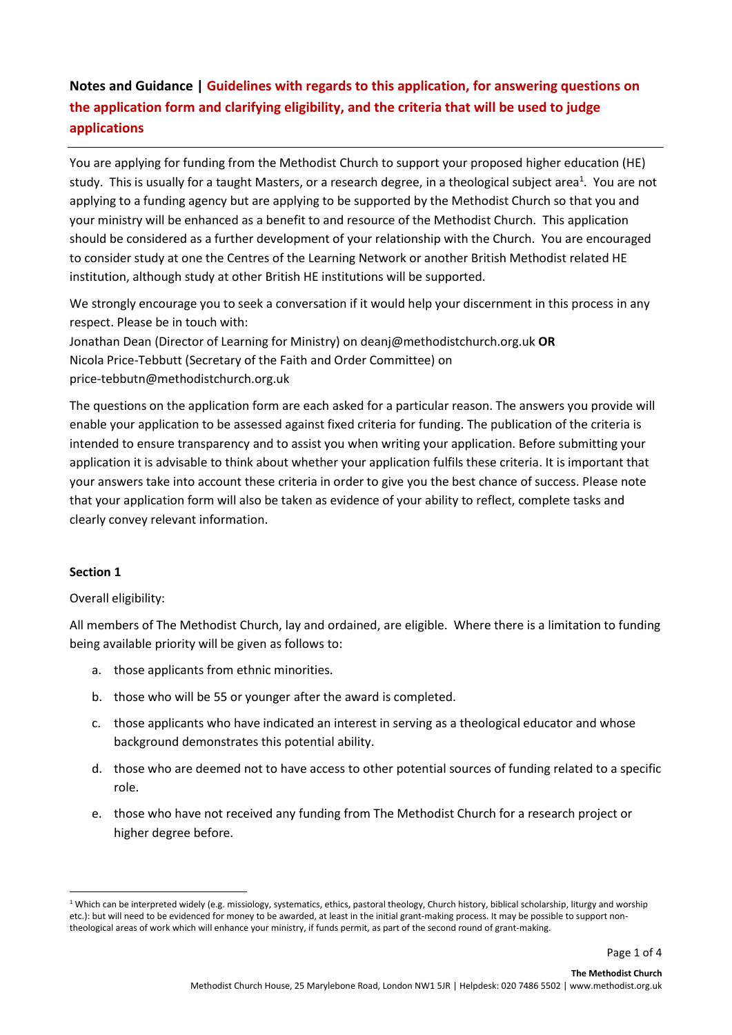# **Notes and Guidance | Guidelines with regards to this application, for answering questions on the application form and clarifying eligibility, and the criteria that will be used to judge applications**

You are applying for funding from the Methodist Church to support your proposed higher education (HE) study. This is usually for a taught Masters, or a research degree, in a theological subject area<sup>1</sup>. You are not applying to a funding agency but are applying to be supported by the Methodist Church so that you and your ministry will be enhanced as a benefit to and resource of the Methodist Church. This application should be considered as a further development of your relationship with the Church. You are encouraged to consider study at one the Centres of the Learning Network or another British Methodist related HE institution, although study at other British HE institutions will be supported.

We strongly encourage you to seek a conversation if it would help your discernment in this process in any respect. Please be in touch with:

Jonathan Dean (Director of Learning for Ministry) on deanj@methodistchurch.org.uk **OR** Nicola Price-Tebbutt (Secretary of the Faith and Order Committee) on price-tebbutn@methodistchurch.org.uk

The questions on the application form are each asked for a particular reason. The answers you provide will enable your application to be assessed against fixed criteria for funding. The publication of the criteria is intended to ensure transparency and to assist you when writing your application. Before submitting your application it is advisable to think about whether your application fulfils these criteria. It is important that your answers take into account these criteria in order to give you the best chance of success. Please note that your application form will also be taken as evidence of your ability to reflect, complete tasks and clearly convey relevant information.

## **Section 1**

**.** 

## Overall eligibility:

All members of The Methodist Church, lay and ordained, are eligible. Where there is a limitation to funding being available priority will be given as follows to:

- a. those applicants from ethnic minorities.
- b. those who will be 55 or younger after the award is completed.
- c. those applicants who have indicated an interest in serving as a theological educator and whose background demonstrates this potential ability.
- d. those who are deemed not to have access to other potential sources of funding related to a specific role.
- e. those who have not received any funding from The Methodist Church for a research project or higher degree before.

<sup>&</sup>lt;sup>1</sup> Which can be interpreted widely (e.g. missiology, systematics, ethics, pastoral theology, Church history, biblical scholarship, liturgy and worship etc.): but will need to be evidenced for money to be awarded, at least in the initial grant-making process. It may be possible to support nontheological areas of work which will enhance your ministry, if funds permit, as part of the second round of grant-making.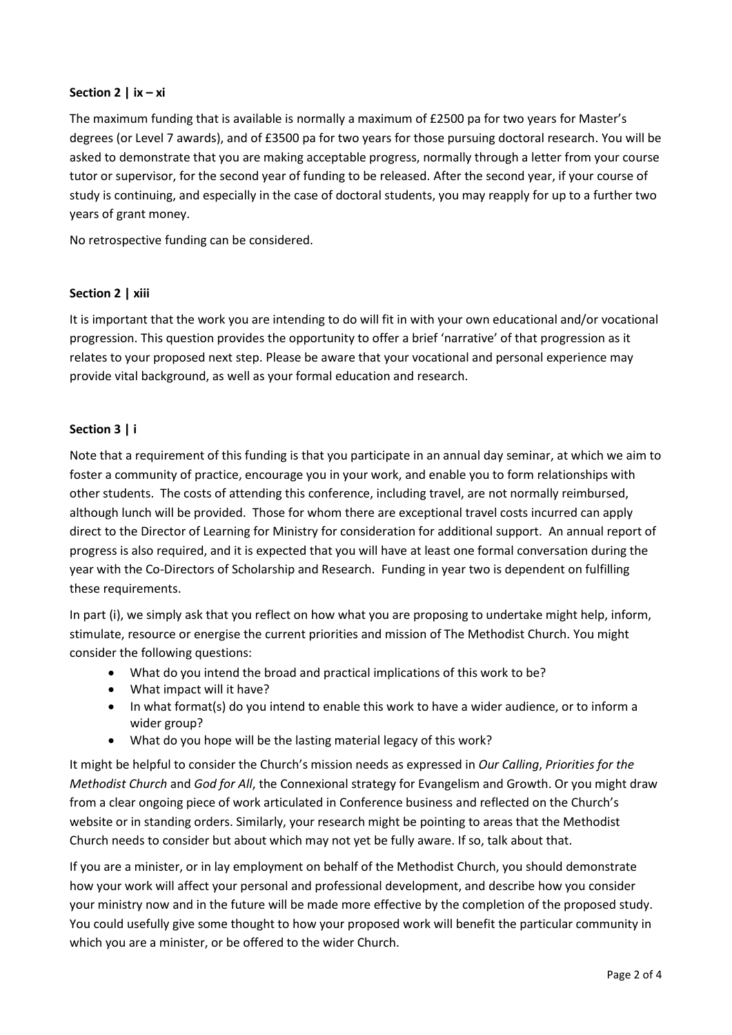## **Section 2 | ix – xi**

The maximum funding that is available is normally a maximum of £2500 pa for two years for Master's degrees (or Level 7 awards), and of £3500 pa for two years for those pursuing doctoral research. You will be asked to demonstrate that you are making acceptable progress, normally through a letter from your course tutor or supervisor, for the second year of funding to be released. After the second year, if your course of study is continuing, and especially in the case of doctoral students, you may reapply for up to a further two years of grant money.

No retrospective funding can be considered.

## **Section 2 | xiii**

It is important that the work you are intending to do will fit in with your own educational and/or vocational progression. This question provides the opportunity to offer a brief 'narrative' of that progression as it relates to your proposed next step. Please be aware that your vocational and personal experience may provide vital background, as well as your formal education and research.

## **Section 3 | i**

Note that a requirement of this funding is that you participate in an annual day seminar, at which we aim to foster a community of practice, encourage you in your work, and enable you to form relationships with other students. The costs of attending this conference, including travel, are not normally reimbursed, although lunch will be provided. Those for whom there are exceptional travel costs incurred can apply direct to the Director of Learning for Ministry for consideration for additional support. An annual report of progress is also required, and it is expected that you will have at least one formal conversation during the year with the Co-Directors of Scholarship and Research. Funding in year two is dependent on fulfilling these requirements.

In part (i), we simply ask that you reflect on how what you are proposing to undertake might help, inform, stimulate, resource or energise the current priorities and mission of The Methodist Church. You might consider the following questions:

- What do you intend the broad and practical implications of this work to be?
- What impact will it have?
- In what format(s) do you intend to enable this work to have a wider audience, or to inform a wider group?
- What do you hope will be the lasting material legacy of this work?

It might be helpful to consider the Church's mission needs as expressed in *Our Calling*, *Priorities for the Methodist Church* and *God for All*, the Connexional strategy for Evangelism and Growth. Or you might draw from a clear ongoing piece of work articulated in Conference business and reflected on the Church's website or in standing orders. Similarly, your research might be pointing to areas that the Methodist Church needs to consider but about which may not yet be fully aware. If so, talk about that.

If you are a minister, or in lay employment on behalf of the Methodist Church, you should demonstrate how your work will affect your personal and professional development, and describe how you consider your ministry now and in the future will be made more effective by the completion of the proposed study. You could usefully give some thought to how your proposed work will benefit the particular community in which you are a minister, or be offered to the wider Church.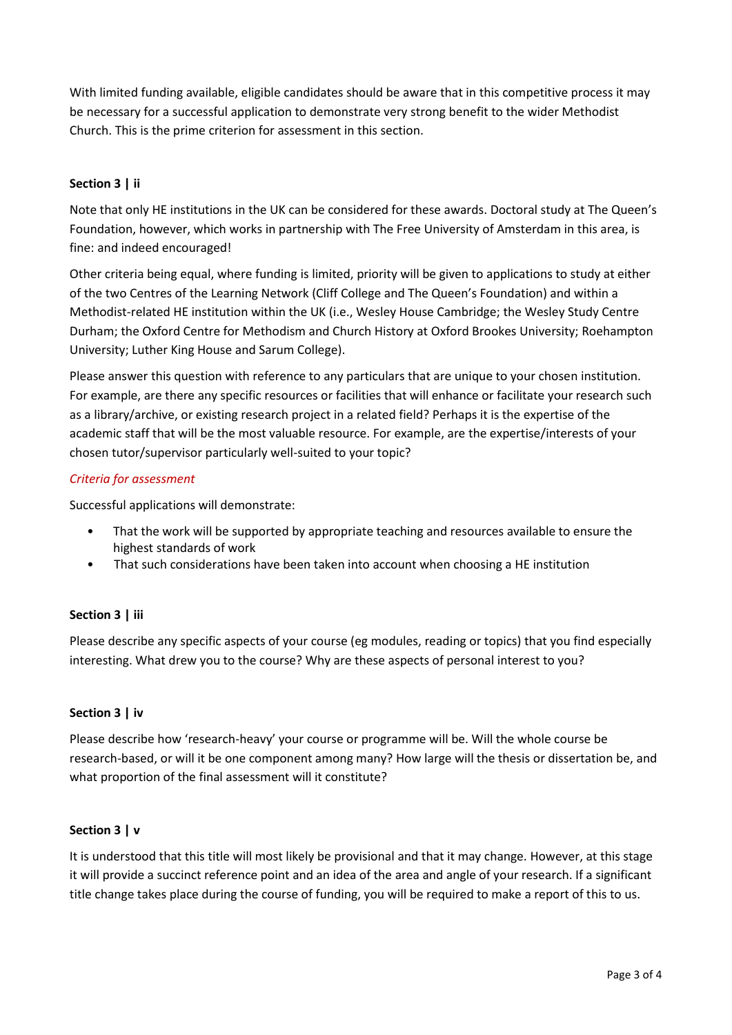With limited funding available, eligible candidates should be aware that in this competitive process it may be necessary for a successful application to demonstrate very strong benefit to the wider Methodist Church. This is the prime criterion for assessment in this section.

# **Section 3 | ii**

Note that only HE institutions in the UK can be considered for these awards. Doctoral study at The Queen's Foundation, however, which works in partnership with The Free University of Amsterdam in this area, is fine: and indeed encouraged!

Other criteria being equal, where funding is limited, priority will be given to applications to study at either of the two Centres of the Learning Network (Cliff College and The Queen's Foundation) and within a Methodist-related HE institution within the UK (i.e., Wesley House Cambridge; the Wesley Study Centre Durham; the Oxford Centre for Methodism and Church History at Oxford Brookes University; Roehampton University; Luther King House and Sarum College).

Please answer this question with reference to any particulars that are unique to your chosen institution. For example, are there any specific resources or facilities that will enhance or facilitate your research such as a library/archive, or existing research project in a related field? Perhaps it is the expertise of the academic staff that will be the most valuable resource. For example, are the expertise/interests of your chosen tutor/supervisor particularly well-suited to your topic?

## *Criteria for assessment*

Successful applications will demonstrate:

- That the work will be supported by appropriate teaching and resources available to ensure the highest standards of work
- That such considerations have been taken into account when choosing a HE institution

## **Section 3 | iii**

Please describe any specific aspects of your course (eg modules, reading or topics) that you find especially interesting. What drew you to the course? Why are these aspects of personal interest to you?

## **Section 3 | iv**

Please describe how 'research-heavy' your course or programme will be. Will the whole course be research-based, or will it be one component among many? How large will the thesis or dissertation be, and what proportion of the final assessment will it constitute?

## **Section 3 | v**

It is understood that this title will most likely be provisional and that it may change. However, at this stage it will provide a succinct reference point and an idea of the area and angle of your research. If a significant title change takes place during the course of funding, you will be required to make a report of this to us.